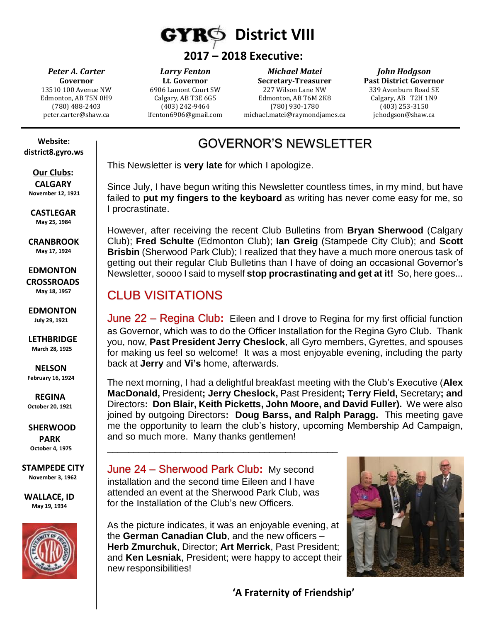

#### **2017 – 2018 Executive:**

*Peter A. Carter* **Governor** 13510 100 Avenue NW Edmonton, AB T5N 0H9 (780) 488-2403 peter.carter@shaw.ca

*Larry Fenton* **Lt. Governor** 6906 Lamont Court SW Calgary, AB T3E 6G5 (403) 242-9464 lfenton6906@gmail.com

*Michael Matei* **Secretary-Treasurer** 227 Wilson Lane NW Edmonton, AB T6M 2K8 (780) 930-1780 michael.matei@raymondjames.ca

*John Hodgson* **Past District Governor** 339 Avonburn Road SE Calgary, AB T2H 1N9 (403) 253-3150 jehodgson@shaw.ca

# GOVERNOR'S NEWSLETTER

This Newsletter is **very late** for which I apologize.

Since July, I have begun writing this Newsletter countless times, in my mind, but have failed to **put my fingers to the keyboard** as writing has never come easy for me, so I procrastinate.

However, after receiving the recent Club Bulletins from **Bryan Sherwood** (Calgary Club); **Fred Schulte** (Edmonton Club); **Ian Greig** (Stampede City Club); and **Scott Brisbin** (Sherwood Park Club); I realized that they have a much more onerous task of getting out their regular Club Bulletins than I have of doing an occasional Governor's Newsletter, soooo I said to myself **stop procrastinating and get at it!** So, here goes...

#### CLUB VISITATIONS

June 22 – Regina Club**:** Eileen and I drove to Regina for my first official function as Governor, which was to do the Officer Installation for the Regina Gyro Club. Thank you, now, **Past President Jerry Cheslock**, all Gyro members, Gyrettes, and spouses for making us feel so welcome! It was a most enjoyable evening, including the party back at **Jerry** and **Vi's** home, afterwards.

The next morning, I had a delightful breakfast meeting with the Club's Executive (**Alex MacDonald,** President**; Jerry Cheslock,** Past President**; Terry Field,** Secretary**; and**  Directors**: Don Blair, Keith Picketts, John Moore, and David Fuller).** We were also joined by outgoing Directors**: Doug Barss, and Ralph Paragg.** This meeting gave me the opportunity to learn the club's history, upcoming Membership Ad Campaign, and so much more. Many thanks gentlemen!

June 24 – Sherwood Park Club**:** My second installation and the second time Eileen and I have attended an event at the Sherwood Park Club, was for the Installation of the Club's new Officers.

\_\_\_\_\_\_\_\_\_\_\_\_\_\_\_\_\_\_\_\_\_\_\_\_\_\_\_\_\_\_\_\_\_\_\_\_\_\_\_\_\_\_\_\_



As the picture indicates, it was an enjoyable evening, at the **German Canadian Club**, and the new officers – **Herb Zmurchuk**, Director; **Art Merrick**, Past President; and **Ken Lesniak**, President; were happy to accept their new responsibilities!

 **'A Fraternity of Friendship'**

 **Website: district8.gyro.ws**

 **Our Clubs: CALGARY November 12, 1921**

 **CASTLEGAR May 25, 1984**

 **CRANBROOK May 17, 1924**

 **EDMONTON CROSSROADS May 18, 1957**

 **EDMONTON July 29, 1921**

 **LETHBRIDGE March 28, 1925**

 **NELSON February 16, 1924**

 **REGINA October 20, 1921**

 **SHERWOOD PARK October 4, 1975**

**STAMPEDE CITY November 3, 1962**

**WALLACE, ID May 19, 1934**

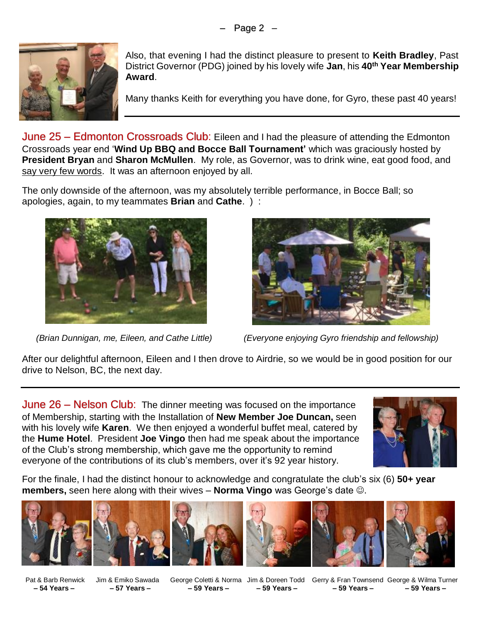

Also, that evening I had the distinct pleasure to present to **Keith Bradley**, Past District Governor (PDG) joined by his lovely wife **Jan**, his **40th Year Membership Award**.

Many thanks Keith for everything you have done, for Gyro, these past 40 years!

June 25 - Edmonton Crossroads Club: Eileen and I had the pleasure of attending the Edmonton Crossroads year end '**Wind Up BBQ and Bocce Ball Tournament'** which was graciously hosted by **President Bryan** and **Sharon McMullen**. My role, as Governor, was to drink wine, eat good food, and say very few words. It was an afternoon enjoyed by all.

The only downside of the afternoon, was my absolutely terrible performance, in Bocce Ball; so apologies, again, to my teammates **Brian** and **Cathe**. ) :





 *(Brian Dunnigan, me, Eileen, and Cathe Little) (Everyone enjoying Gyro friendship and fellowship)*

After our delightful afternoon, Eileen and I then drove to Airdrie, so we would be in good position for our drive to Nelson, BC, the next day.

**June 26 – Nelson Club:** The dinner meeting was focused on the importance of Membership, starting with the Installation of **New Member Joe Duncan,** seen with his lovely wife **Karen**. We then enjoyed a wonderful buffet meal, catered by the **Hume Hotel**. President **Joe Vingo** then had me speak about the importance of the Club's strong membership, which gave me the opportunity to remind everyone of the contributions of its club's members, over it's 92 year history.



For the finale, I had the distinct honour to acknowledge and congratulate the club's six (6) **50+ year members,** seen here along with their wives – **Norma Vingo** was George's date ☺.













 Pat & Barb Renwick Jim & Emiko Sawada George Coletti & Norma Jim & Doreen Todd Gerry & Fran Townsend George & Wilma Turner  **– 54 Years – – 57 Years – – 59 Years – – 59 Years – – 59 Years – – 59 Years –**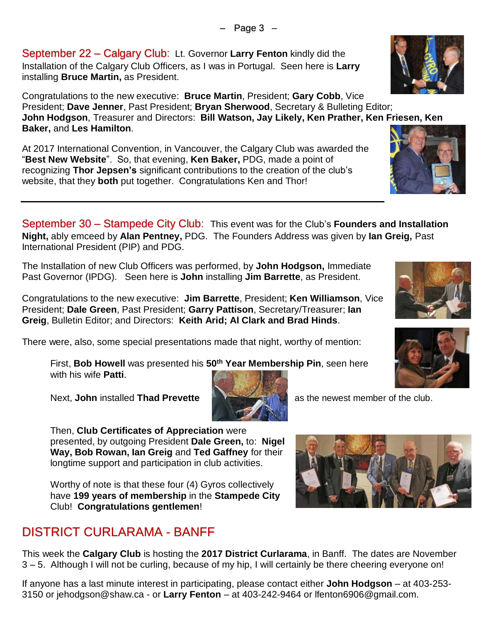September 22 – Calgary Club: Lt. Governor **Larry Fenton** kindly did the Installation of the Calgary Club Officers, as I was in Portugal. Seen here is **Larry** installing **Bruce Martin,** as President.

Congratulations to the new executive: **Bruce Martin**, President; **Gary Cobb**, Vice President; **Dave Jenner**, Past President; **Bryan Sherwood**, Secretary & Bulleting Editor; **John Hodgson**, Treasurer and Directors: **Bill Watson, Jay Likely, Ken Prather, Ken Friesen, Ken Baker,** and **Les Hamilton**.

– Page 3 –

At 2017 International Convention, in Vancouver, the Calgary Club was awarded the "**Best New Website**". So, that evening, **Ken Baker,** PDG, made a point of recognizing **Thor Jepsen's** significant contributions to the creation of the club's website, that they **both** put together. Congratulations Ken and Thor!

September 30 – Stampede City Club: This event was for the Club's **Founders and Installation Night,** ably emceed by **Alan Pentney,** PDG. The Founders Address was given by **Ian Greig,** Past International President (PIP) and PDG.

The Installation of new Club Officers was performed, by **John Hodgson,** Immediate Past Governor (IPDG). Seen here is **John** installing **Jim Barrette**, as President.

Congratulations to the new executive: **Jim Barrette**, President; **Ken Williamson**, Vice President; **Dale Green**, Past President; **Garry Pattison**, Secretary/Treasurer; **Ian Greig**, Bulletin Editor; and Directors: **Keith Arid; Al Clark and Brad Hinds**.

There were, also, some special presentations made that night, worthy of mention:

First, **Bob Howell** was presented his **50th Year Membership Pin**, seen here with his wife **Patti**.

Next, **John** installed **Thad Prevette and the state of the club.** A as the newest member of the club.

Then, **Club Certificates of Appreciation** were presented, by outgoing President **Dale Green,** to: **Nigel Way, Bob Rowan, Ian Greig** and **Ted Gaffney** for their longtime support and participation in club activities.

Worthy of note is that these four (4) Gyros collectively have **199 years of membership** in the **Stampede City** Club! **Congratulations gentlemen**!

## DISTRICT CURLARAMA - BANFF

This week the **Calgary Club** is hosting the **2017 District Curlarama**, in Banff. The dates are November 3 – 5. Although I will not be curling, because of my hip, I will certainly be there cheering everyone on!

If anyone has a last minute interest in participating, please contact either **John Hodgson** – at 403-253- 3150 or jehodgson@shaw.ca - or **Larry Fenton** – at 403-242-9464 or lfenton6906@gmail.com.